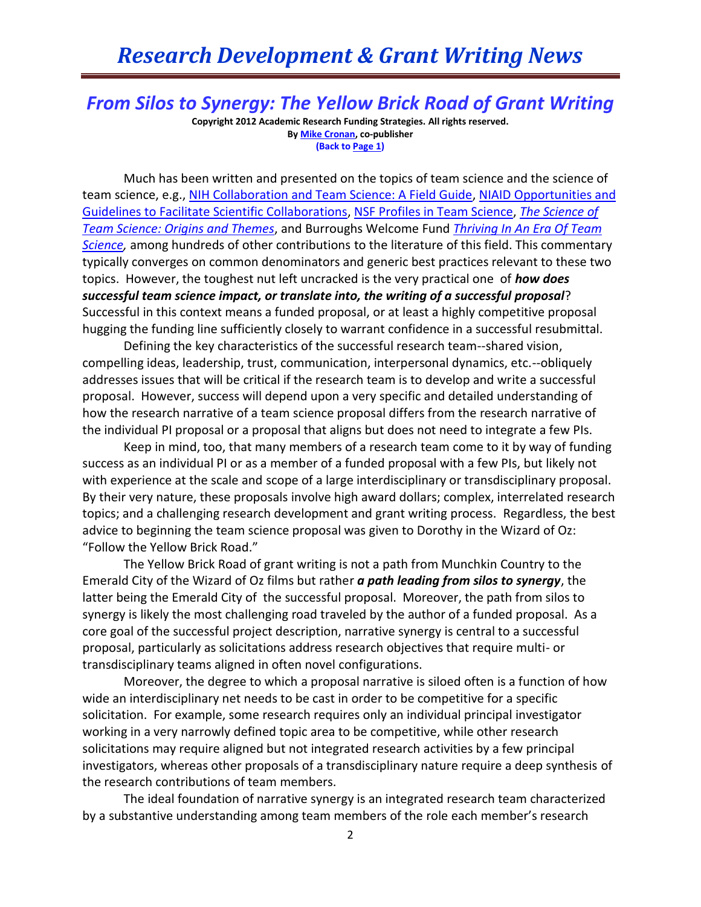## *Research Development & Grant Writing News*

*From Silos to Synergy: The Yellow Brick Road of Grant Writing*

**Copyright 2012 Academic Research Funding Strategies. All rights reserved. B[y Mike Cronan,](mailto:mjcronan@gmail.com) co-publisher (Back to Page 1)**

Much has been written and presented on the topics of team science and the science of team science, e.g., [NIH Collaboration and Team Science: A Field Guide,](https://ccrod.cancer.gov/confluence/download/attachments/47284665/TeamScience_FieldGuide.pdf?version=2&modificationDate=1285330231523) [NIAID Opportunities and](http://www.niaid.nih.gov/researchfunding/grant/pages/extraintracollab.aspx)  [Guidelines to Facilitate Scientific Collaborations,](http://www.niaid.nih.gov/researchfunding/grant/pages/extraintracollab.aspx) [NSF Profiles in Team Science,](http://depts.washington.edu/teamsci/welcome.html) *[The Science of](http://healthpolicy.unm.edu/sites/default/files/documents/Intro_to_sup_Science_of_Team_Science.pdf)  [Team Science: Origins and Themes](http://healthpolicy.unm.edu/sites/default/files/documents/Intro_to_sup_Science_of_Team_Science.pdf)*, and Burroughs Welcome Fund *[Thriving In An Era Of Team](http://www.bwfund.org/files.php?mode=getFile&file=532)*  **Science**, among hundreds of other contributions to the literature of this field. This commentary typically converges on common denominators and generic best practices relevant to these two topics. However, the toughest nut left uncracked is the very practical one of *how does successful team science impact, or translate into, the writing of a successful proposal*? Successful in this context means a funded proposal, or at least a highly competitive proposal hugging the funding line sufficiently closely to warrant confidence in a successful resubmittal.

Defining the key characteristics of the successful research team--shared vision, compelling ideas, leadership, trust, communication, interpersonal dynamics, etc.--obliquely addresses issues that will be critical if the research team is to develop and write a successful proposal. However, success will depend upon a very specific and detailed understanding of how the research narrative of a team science proposal differs from the research narrative of the individual PI proposal or a proposal that aligns but does not need to integrate a few PIs.

Keep in mind, too, that many members of a research team come to it by way of funding success as an individual PI or as a member of a funded proposal with a few PIs, but likely not with experience at the scale and scope of a large interdisciplinary or transdisciplinary proposal. By their very nature, these proposals involve high award dollars; complex, interrelated research topics; and a challenging research development and grant writing process. Regardless, the best advice to beginning the team science proposal was given to Dorothy in the Wizard of Oz: "Follow the Yellow Brick Road."

The Yellow Brick Road of grant writing is not a path from Munchkin Country to the Emerald City of the Wizard of Oz films but rather *a path leading from silos to synergy*, the latter being the Emerald City of the successful proposal. Moreover, the path from silos to synergy is likely the most challenging road traveled by the author of a funded proposal. As a core goal of the successful project description, narrative synergy is central to a successful proposal, particularly as solicitations address research objectives that require multi- or transdisciplinary teams aligned in often novel configurations.

Moreover, the degree to which a proposal narrative is siloed often is a function of how wide an interdisciplinary net needs to be cast in order to be competitive for a specific solicitation. For example, some research requires only an individual principal investigator working in a very narrowly defined topic area to be competitive, while other research solicitations may require aligned but not integrated research activities by a few principal investigators, whereas other proposals of a transdisciplinary nature require a deep synthesis of the research contributions of team members.

The ideal foundation of narrative synergy is an integrated research team characterized by a substantive understanding among team members of the role each member's research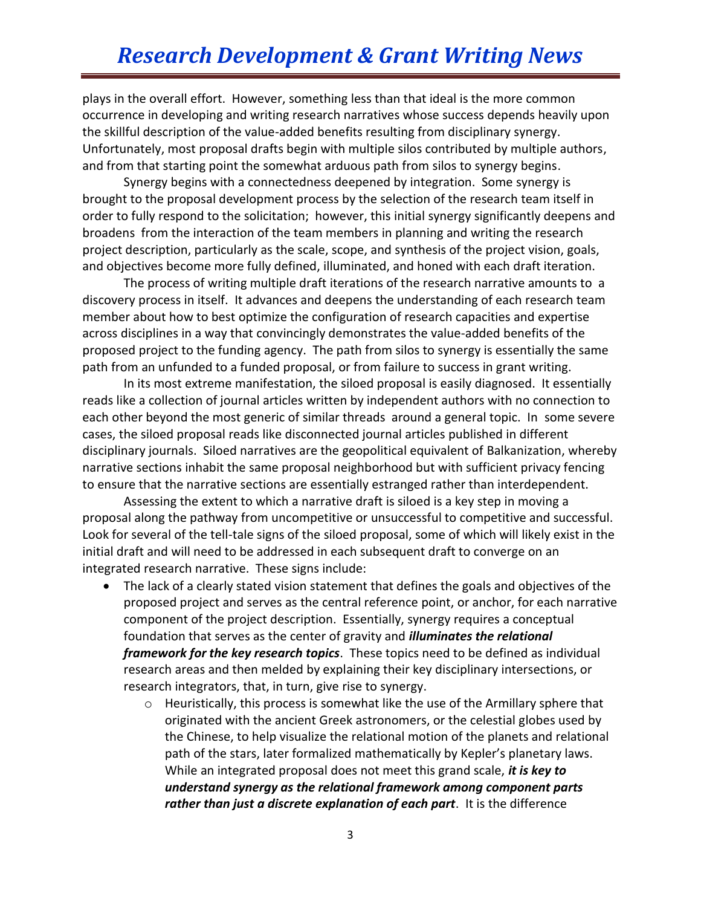plays in the overall effort. However, something less than that ideal is the more common occurrence in developing and writing research narratives whose success depends heavily upon the skillful description of the value-added benefits resulting from disciplinary synergy. Unfortunately, most proposal drafts begin with multiple silos contributed by multiple authors, and from that starting point the somewhat arduous path from silos to synergy begins.

Synergy begins with a connectedness deepened by integration. Some synergy is brought to the proposal development process by the selection of the research team itself in order to fully respond to the solicitation; however, this initial synergy significantly deepens and broadens from the interaction of the team members in planning and writing the research project description, particularly as the scale, scope, and synthesis of the project vision, goals, and objectives become more fully defined, illuminated, and honed with each draft iteration.

The process of writing multiple draft iterations of the research narrative amounts to a discovery process in itself. It advances and deepens the understanding of each research team member about how to best optimize the configuration of research capacities and expertise across disciplines in a way that convincingly demonstrates the value-added benefits of the proposed project to the funding agency. The path from silos to synergy is essentially the same path from an unfunded to a funded proposal, or from failure to success in grant writing.

In its most extreme manifestation, the siloed proposal is easily diagnosed. It essentially reads like a collection of journal articles written by independent authors with no connection to each other beyond the most generic of similar threads around a general topic. In some severe cases, the siloed proposal reads like disconnected journal articles published in different disciplinary journals. Siloed narratives are the geopolitical equivalent of Balkanization, whereby narrative sections inhabit the same proposal neighborhood but with sufficient privacy fencing to ensure that the narrative sections are essentially estranged rather than interdependent.

Assessing the extent to which a narrative draft is siloed is a key step in moving a proposal along the pathway from uncompetitive or unsuccessful to competitive and successful. Look for several of the tell-tale signs of the siloed proposal, some of which will likely exist in the initial draft and will need to be addressed in each subsequent draft to converge on an integrated research narrative. These signs include:

- The lack of a clearly stated vision statement that defines the goals and objectives of the proposed project and serves as the central reference point, or anchor, for each narrative component of the project description. Essentially, synergy requires a conceptual foundation that serves as the center of gravity and *illuminates the relational framework for the key research topics*. These topics need to be defined as individual research areas and then melded by explaining their key disciplinary intersections, or research integrators, that, in turn, give rise to synergy.
	- o Heuristically, this process is somewhat like the use of the Armillary sphere that originated with the ancient Greek astronomers, or the celestial globes used by the Chinese, to help visualize the relational motion of the planets and relational path of the stars, later formalized mathematically by Kepler's planetary laws. While an integrated proposal does not meet this grand scale, *it is key to understand synergy as the relational framework among component parts rather than just a discrete explanation of each part*. It is the difference